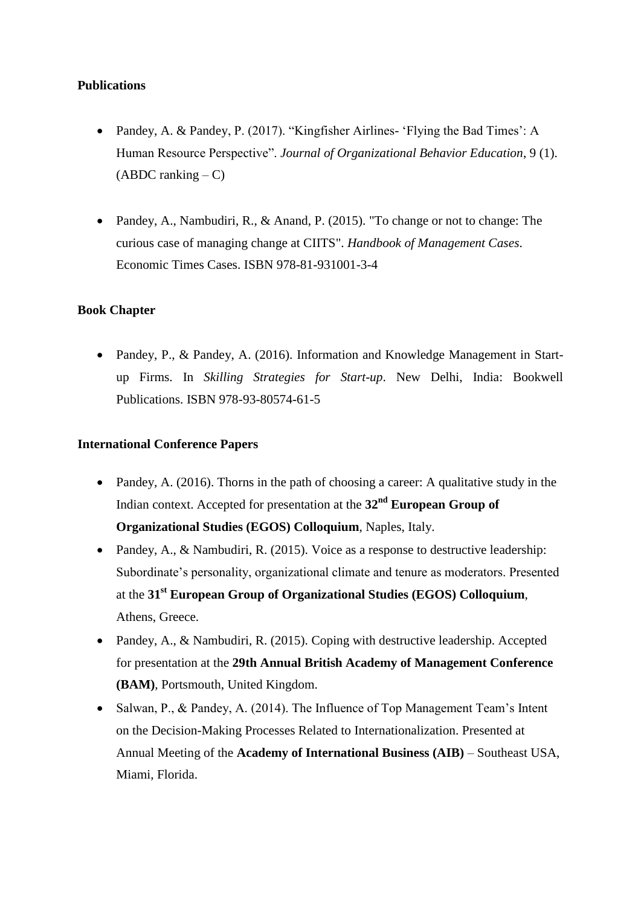# **Publications**

- Pandey, A. & Pandey, P. (2017). "Kingfisher Airlines- 'Flying the Bad Times': A Human Resource Perspective". *Journal of Organizational Behavior Education*, 9 (1).  $(ABDC$  ranking  $-C$ )
- Pandey, A., Nambudiri, R., & Anand, P. (2015). "To change or not to change: The curious case of managing change at CIITS". *Handbook of Management Cases*. Economic Times Cases. ISBN 978-81-931001-3-4

## **Book Chapter**

• Pandey, P., & Pandey, A. (2016). Information and Knowledge Management in Startup Firms. In *Skilling Strategies for Start-up*. New Delhi, India: Bookwell Publications. ISBN 978-93-80574-61-5

#### **International Conference Papers**

- Pandey, A. (2016). Thorns in the path of choosing a career: A qualitative study in the Indian context. Accepted for presentation at the **32nd European Group of Organizational Studies (EGOS) Colloquium**, Naples, Italy.
- Pandey, A., & Nambudiri, R. (2015). Voice as a response to destructive leadership: Subordinate's personality, organizational climate and tenure as moderators. Presented at the **31st European Group of Organizational Studies (EGOS) Colloquium**, Athens, Greece.
- Pandey, A., & Nambudiri, R. (2015). Coping with destructive leadership. Accepted for presentation at the **29th Annual British Academy of Management Conference (BAM)**, Portsmouth, United Kingdom.
- Salwan, P., & Pandey, A. (2014). The Influence of Top Management Team's Intent on the Decision-Making Processes Related to Internationalization. Presented at Annual Meeting of the **Academy of International Business (AIB)** – Southeast USA, Miami, Florida.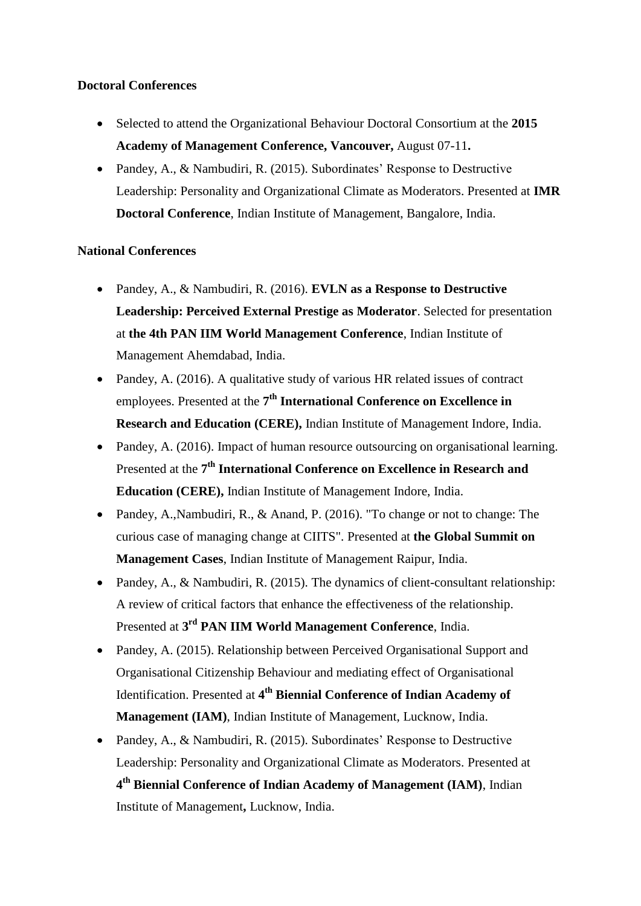# **Doctoral Conferences**

- Selected to attend the Organizational Behaviour Doctoral Consortium at the **2015 Academy of Management Conference, Vancouver,** August 07-11**.**
- Pandey, A., & Nambudiri, R. (2015). Subordinates' Response to Destructive Leadership: Personality and Organizational Climate as Moderators. Presented at **IMR Doctoral Conference**, Indian Institute of Management, Bangalore, India.

## **National Conferences**

- Pandey, A., & Nambudiri, R. (2016). **EVLN as a Response to Destructive Leadership: Perceived External Prestige as Moderator**. Selected for presentation at **the 4th PAN IIM World Management Conference**, Indian Institute of Management Ahemdabad, India.
- Pandey, A. (2016). A qualitative study of various HR related issues of contract employees. Presented at the 7<sup>th</sup> International Conference on Excellence in **Research and Education (CERE),** Indian Institute of Management Indore, India.
- Pandey, A. (2016). Impact of human resource outsourcing on organisational learning. Presented at the 7<sup>th</sup> International Conference on Excellence in Research and **Education (CERE),** Indian Institute of Management Indore, India.
- Pandey, A., Nambudiri, R., & Anand, P. (2016). "To change or not to change: The curious case of managing change at CIITS". Presented at **the Global Summit on Management Cases**, Indian Institute of Management Raipur, India.
- Pandey, A., & Nambudiri, R. (2015). The dynamics of client-consultant relationship: A review of critical factors that enhance the effectiveness of the relationship. Presented at **3 rd PAN IIM World Management Conference**, India.
- Pandey, A. (2015). Relationship between Perceived Organisational Support and Organisational Citizenship Behaviour and mediating effect of Organisational Identification. Presented at **4 th Biennial Conference of Indian Academy of Management (IAM)**, Indian Institute of Management, Lucknow, India.
- Pandey, A., & Nambudiri, R. (2015). Subordinates' Response to Destructive Leadership: Personality and Organizational Climate as Moderators. Presented at **4 th Biennial Conference of Indian Academy of Management (IAM)**, Indian Institute of Management**,** Lucknow, India.